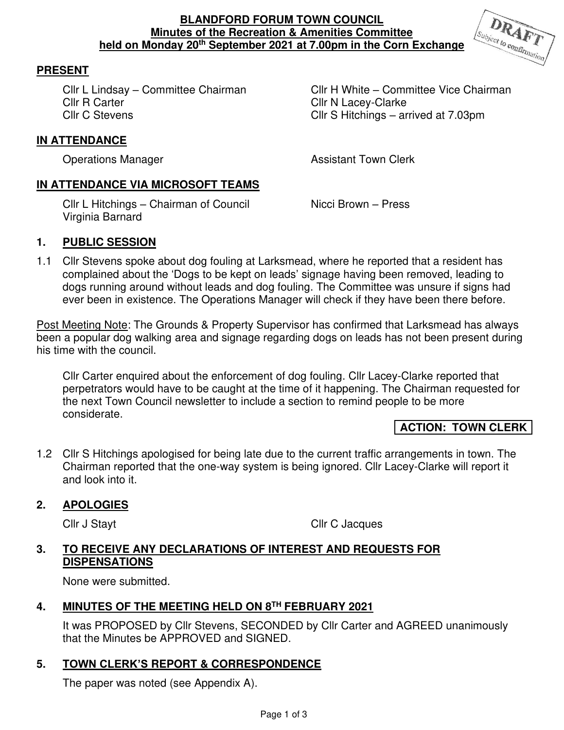### **BLANDFORD FORUM TOWN COUNCIL Minutes of the Recreation & Amenities Committee held on Monday 20th September 2021 at 7.00pm in the Corn Exchange**



## **PRESENT**

Cllr C Stevens Cllr S Hitchings – arrived at 7.03pm

Cllr L Lindsay – Committee Chairman Cllr H White – Committee Vice Chairman Cllr R Carter Cllr N Lacey-Clarke

#### **IN ATTENDANCE**  Ē

**Operations Manager Contract Contract Assistant Town Clerk** 

# **IN ATTENDANCE VIA MICROSOFT TEAMS**

Cllr L Hitchings – Chairman of Council Nicci Brown – Press Virginia Barnard

## **1. PUBLIC SESSION**

1.1 Cllr Stevens spoke about dog fouling at Larksmead, where he reported that a resident has complained about the 'Dogs to be kept on leads' signage having been removed, leading to dogs running around without leads and dog fouling. The Committee was unsure if signs had ever been in existence. The Operations Manager will check if they have been there before.

Post Meeting Note: The Grounds & Property Supervisor has confirmed that Larksmead has always been a popular dog walking area and signage regarding dogs on leads has not been present during his time with the council.

Cllr Carter enquired about the enforcement of dog fouling. Cllr Lacey-Clarke reported that perpetrators would have to be caught at the time of it happening. The Chairman requested for the next Town Council newsletter to include a section to remind people to be more considerate.

## **ACTION: TOWN CLERK**

1.2 Cllr S Hitchings apologised for being late due to the current traffic arrangements in town. The Chairman reported that the one-way system is being ignored. Cllr Lacey-Clarke will report it and look into it.

#### **2. APOLOGIES**

Cllr J Stayt Cllr C Jacques

### **3. TO RECEIVE ANY DECLARATIONS OF INTEREST AND REQUESTS FOR DISPENSATIONS**

None were submitted.

## **4. MINUTES OF THE MEETING HELD ON 8TH FEBRUARY 2021**

It was PROPOSED by Cllr Stevens, SECONDED by Cllr Carter and AGREED unanimously that the Minutes be APPROVED and SIGNED.

## **5. TOWN CLERK'S REPORT & CORRESPONDENCE**

The paper was noted (see Appendix A).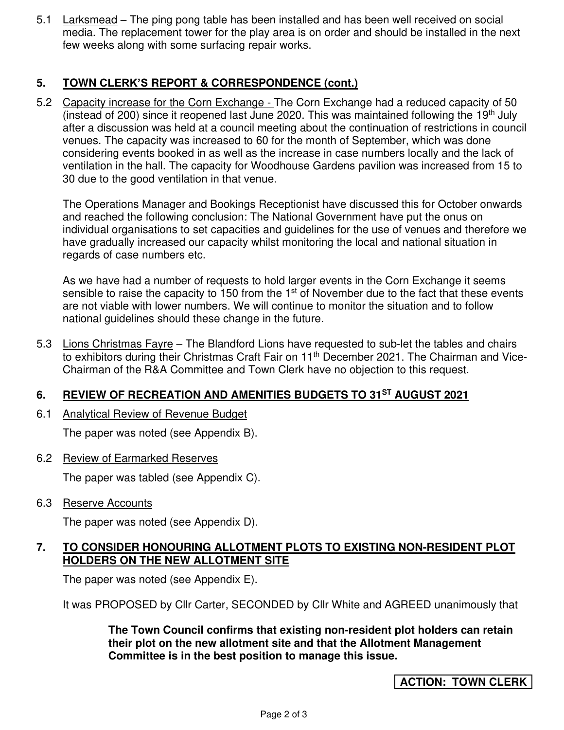5.1 Larksmead – The ping pong table has been installed and has been well received on social media. The replacement tower for the play area is on order and should be installed in the next few weeks along with some surfacing repair works.

## **5. TOWN CLERK'S REPORT & CORRESPONDENCE (cont.)**

5.2 Capacity increase for the Corn Exchange - The Corn Exchange had a reduced capacity of 50 (instead of 200) since it reopened last June 2020. This was maintained following the 19<sup>th</sup> July after a discussion was held at a council meeting about the continuation of restrictions in council venues. The capacity was increased to 60 for the month of September, which was done considering events booked in as well as the increase in case numbers locally and the lack of ventilation in the hall. The capacity for Woodhouse Gardens pavilion was increased from 15 to 30 due to the good ventilation in that venue.

The Operations Manager and Bookings Receptionist have discussed this for October onwards and reached the following conclusion: The National Government have put the onus on individual organisations to set capacities and guidelines for the use of venues and therefore we have gradually increased our capacity whilst monitoring the local and national situation in regards of case numbers etc.

As we have had a number of requests to hold larger events in the Corn Exchange it seems sensible to raise the capacity to 150 from the  $1<sup>st</sup>$  of November due to the fact that these events are not viable with lower numbers. We will continue to monitor the situation and to follow national guidelines should these change in the future.

5.3 Lions Christmas Fayre – The Blandford Lions have requested to sub-let the tables and chairs to exhibitors during their Christmas Craft Fair on 11<sup>th</sup> December 2021. The Chairman and Vice-Chairman of the R&A Committee and Town Clerk have no objection to this request.

## **6. REVIEW OF RECREATION AND AMENITIES BUDGETS TO 31ST AUGUST 2021**

6.1 Analytical Review of Revenue Budget

The paper was noted (see Appendix B).

6.2 Review of Earmarked Reserves

The paper was tabled (see Appendix C).

6.3 Reserve Accounts

The paper was noted (see Appendix D).

### **7. TO CONSIDER HONOURING ALLOTMENT PLOTS TO EXISTING NON-RESIDENT PLOT HOLDERS ON THE NEW ALLOTMENT SITE**

The paper was noted (see Appendix E).

It was PROPOSED by Cllr Carter, SECONDED by Cllr White and AGREED unanimously that

**The Town Council confirms that existing non-resident plot holders can retain their plot on the new allotment site and that the Allotment Management Committee is in the best position to manage this issue.** 

## **ACTION: TOWN CLERK**